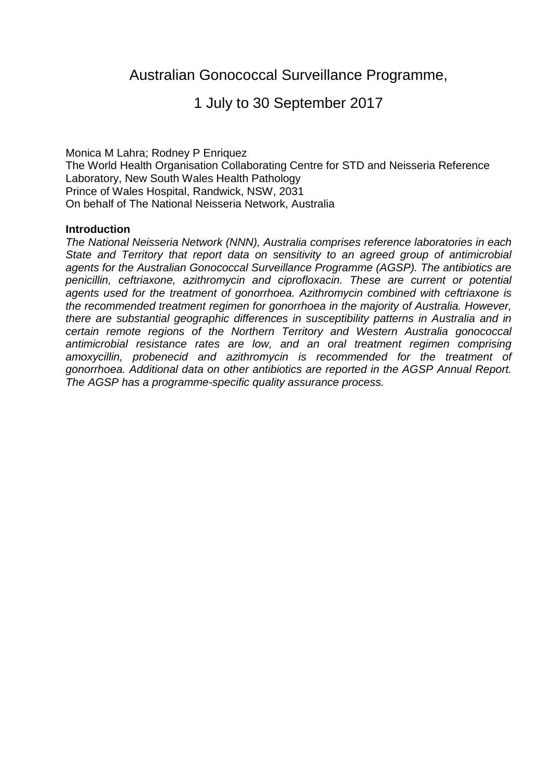# 1 July to 30 September 2017

Monica M Lahra; Rodney P Enriquez The World Health Organisation Collaborating Centre for STD and Neisseria Reference Laboratory, New South Wales Health Pathology Prince of Wales Hospital, Randwick, NSW, 2031 On behalf of The National Neisseria Network, Australia

#### **Introduction**

*The National Neisseria Network (NNN), Australia comprises reference laboratories in each State and Territory that report data on sensitivity to an agreed group of antimicrobial agents for the Australian Gonococcal Surveillance Programme (AGSP). The antibiotics are penicillin, ceftriaxone, azithromycin and ciprofloxacin. These are current or potential agents used for the treatment of gonorrhoea. Azithromycin combined with ceftriaxone is the recommended treatment regimen for gonorrhoea in the majority of Australia. However, there are substantial geographic differences in susceptibility patterns in Australia and in certain remote regions of the Northern Territory and Western Australia gonococcal antimicrobial resistance rates are low, and an oral treatment regimen comprising amoxycillin, probenecid and azithromycin is recommended for the treatment of gonorrhoea. Additional data on other antibiotics are reported in the AGSP Annual Report. The AGSP has a programme-specific quality assurance process.*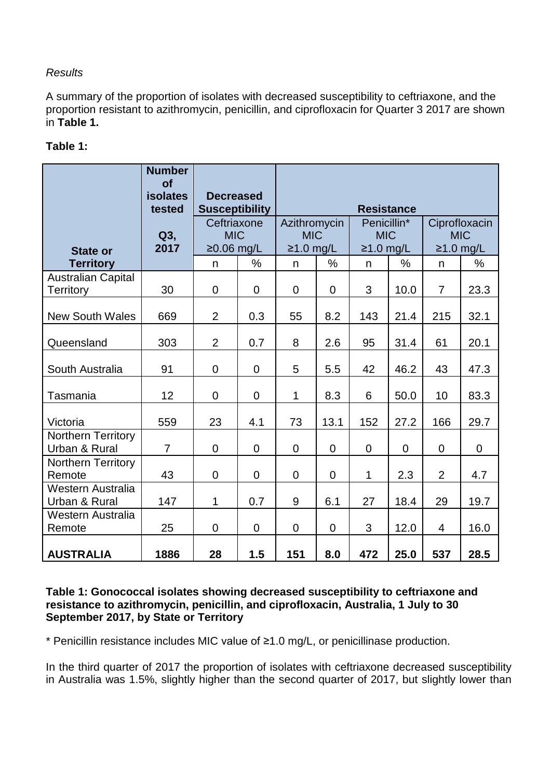## *Results*

A summary of the proportion of isolates with decreased susceptibility to ceftriaxone, and the proportion resistant to azithromycin, penicillin, and ciprofloxacin for Quarter 3 2017 are shown in **Table 1.**

# **Table 1:**

|                                               | <b>Number</b><br><b>of</b><br><b>isolates</b><br>tested | <b>Decreased</b><br><b>Susceptibility</b> |                | <b>Resistance</b>                         |                |                                          |          |                                            |                |  |
|-----------------------------------------------|---------------------------------------------------------|-------------------------------------------|----------------|-------------------------------------------|----------------|------------------------------------------|----------|--------------------------------------------|----------------|--|
| <b>State or</b>                               | $Q3$ ,<br>2017                                          | Ceftriaxone<br><b>MIC</b><br>$≥0.06$ mg/L |                | Azithromycin<br><b>MIC</b><br>$≥1.0$ mg/L |                | Penicillin*<br><b>MIC</b><br>$≥1.0$ mg/L |          | Ciprofloxacin<br><b>MIC</b><br>$≥1.0$ mg/L |                |  |
| <b>Territory</b>                              |                                                         | n                                         | $\frac{0}{0}$  | $\mathsf{n}$                              | $\%$           | $\mathsf{n}$                             | %        | n.                                         | %              |  |
| <b>Australian Capital</b><br><b>Territory</b> | 30                                                      | $\overline{0}$                            | $\overline{0}$ | $\Omega$                                  | $\overline{0}$ | 3                                        | 10.0     | $\overline{7}$                             | 23.3           |  |
| <b>New South Wales</b>                        | 669                                                     | $\overline{2}$                            | 0.3            | 55                                        | 8.2            | 143                                      | 21.4     | 215                                        | 32.1           |  |
| Queensland                                    | 303                                                     | $\overline{2}$                            | 0.7            | 8                                         | 2.6            | 95                                       | 31.4     | 61                                         | 20.1           |  |
| South Australia                               | 91                                                      | $\overline{0}$                            | $\overline{0}$ | 5                                         | 5.5            | 42                                       | 46.2     | 43                                         | 47.3           |  |
| Tasmania                                      | 12                                                      | $\mathbf 0$                               | $\overline{0}$ | $\mathbf{1}$                              | 8.3            | 6                                        | 50.0     | 10                                         | 83.3           |  |
| Victoria                                      | 559                                                     | 23                                        | 4.1            | 73                                        | 13.1           | 152                                      | 27.2     | 166                                        | 29.7           |  |
| Northern Territory<br>Urban & Rural           | $\overline{7}$                                          | $\overline{0}$                            | $\overline{0}$ | $\overline{0}$                            | $\Omega$       | $\overline{0}$                           | $\Omega$ | $\overline{0}$                             | $\overline{0}$ |  |
| Northern Territory<br>Remote                  | 43                                                      | $\overline{0}$                            | 0              | $\overline{0}$                            | $\overline{0}$ | 1                                        | 2.3      | $\overline{2}$                             | 4.7            |  |
| Western Australia<br>Urban & Rural            | 147                                                     | 1                                         | 0.7            | 9                                         | 6.1            | 27                                       | 18.4     | 29                                         | 19.7           |  |
| Western Australia<br>Remote                   | 25                                                      | $\overline{0}$                            | $\overline{0}$ | $\Omega$                                  | $\overline{0}$ | 3                                        | 12.0     | 4                                          | 16.0           |  |
| <b>AUSTRALIA</b>                              | 1886                                                    | 28                                        | 1.5            | 151                                       | 8.0            | 472                                      | 25.0     | 537                                        | 28.5           |  |

### **Table 1: Gonococcal isolates showing decreased susceptibility to ceftriaxone and resistance to azithromycin, penicillin, and ciprofloxacin, Australia, 1 July to 30 September 2017, by State or Territory**

\* Penicillin resistance includes MIC value of ≥1.0 mg/L, or penicillinase production.

In the third quarter of 2017 the proportion of isolates with ceftriaxone decreased susceptibility in Australia was 1.5%, slightly higher than the second quarter of 2017, but slightly lower than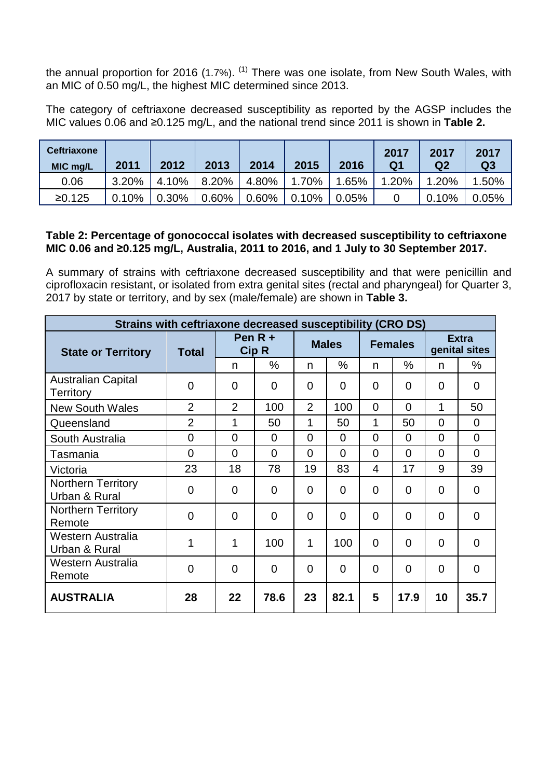the annual proportion for 2016 (1.7%).  $^{(1)}$  $^{(1)}$  $^{(1)}$  There was one isolate, from New South Wales, with an MIC of 0.50 mg/L, the highest MIC determined since 2013.

The category of ceftriaxone decreased susceptibility as reported by the AGSP includes the MIC values 0.06 and ≥0.125 mg/L, and the national trend since 2011 is shown in **Table 2.**

| <b>Ceftriaxone</b><br>MIC mg/L | 2011  | 2012  | 2013     | 2014  | 2015  | 2016  | 2017<br>Q1 | 2017<br>Q <sub>2</sub> | 2017<br>Q <sub>3</sub> |
|--------------------------------|-------|-------|----------|-------|-------|-------|------------|------------------------|------------------------|
| 0.06                           | 3.20% | 4.10% | 8.20%    | 4.80% | 1.70% | .65%  | 1.20%      | 1.20%                  | 1.50%                  |
| ≥0.125                         | 0.10% | 0.30% | $0.60\%$ | 0.60% | 0.10% | 0.05% |            | 0.10%                  | 0.05%                  |

### **Table 2: Percentage of gonococcal isolates with decreased susceptibility to ceftriaxone MIC 0.06 and ≥0.125 mg/L, Australia, 2011 to 2016, and 1 July to 30 September 2017.**

A summary of strains with ceftriaxone decreased susceptibility and that were penicillin and ciprofloxacin resistant, or isolated from extra genital sites (rectal and pharyngeal) for Quarter 3, 2017 by state or territory, and by sex (male/female) are shown in **Table 3.**

| Strains with ceftriaxone decreased susceptibility (CRO DS) |                |                           |             |                |                |                |                |                               |                |  |
|------------------------------------------------------------|----------------|---------------------------|-------------|----------------|----------------|----------------|----------------|-------------------------------|----------------|--|
| <b>State or Territory</b>                                  | <b>Total</b>   | Pen $R +$<br><b>Cip R</b> |             | <b>Males</b>   |                | <b>Females</b> |                | <b>Extra</b><br>genital sites |                |  |
|                                                            |                | n                         | $\%$        | n              | %              | n              | $\%$           | n                             | %              |  |
| <b>Australian Capital</b><br><b>Territory</b>              | 0              | $\overline{0}$            | $\mathbf 0$ | $\overline{0}$ | 0              | 0              | $\overline{0}$ | 0                             | 0              |  |
| <b>New South Wales</b>                                     | $\overline{2}$ | $\overline{2}$            | 100         | $\overline{2}$ | 100            | 0              | 0              | 1                             | 50             |  |
| Queensland                                                 | $\overline{2}$ | 1                         | 50          | 1              | 50             | 1              | 50             | $\overline{0}$                | $\Omega$       |  |
| South Australia                                            | 0              | $\Omega$                  | 0           | $\Omega$       | $\overline{0}$ | 0              | $\overline{0}$ | $\overline{0}$                | $\Omega$       |  |
| Tasmania                                                   | $\Omega$       | $\Omega$                  | $\Omega$    | $\Omega$       | $\Omega$       | $\Omega$       | $\Omega$       | $\Omega$                      | $\Omega$       |  |
| Victoria                                                   | 23             | 18                        | 78          | 19             | 83             | 4              | 17             | 9                             | 39             |  |
| <b>Northern Territory</b><br>Urban & Rural                 | 0              | $\overline{0}$            | 0           | $\overline{0}$ | $\overline{0}$ | 0              | 0              | $\overline{0}$                | 0              |  |
| <b>Northern Territory</b><br>Remote                        | 0              | $\Omega$                  | $\Omega$    | $\Omega$       | $\overline{0}$ | $\Omega$       | $\Omega$       | $\overline{0}$                | 0              |  |
| Western Australia<br>Urban & Rural                         | 1              | 1                         | 100         | 1              | 100            | $\Omega$       | 0              | 0                             | $\overline{0}$ |  |
| <b>Western Australia</b><br>Remote                         | 0              | $\Omega$                  | $\Omega$    | $\Omega$       | $\overline{0}$ | $\overline{0}$ | $\Omega$       | $\overline{0}$                | 0              |  |
| <b>AUSTRALIA</b>                                           | 28             | 22                        | 78.6        | 23             | 82.1           | 5              | 17.9           | 10                            | 35.7           |  |